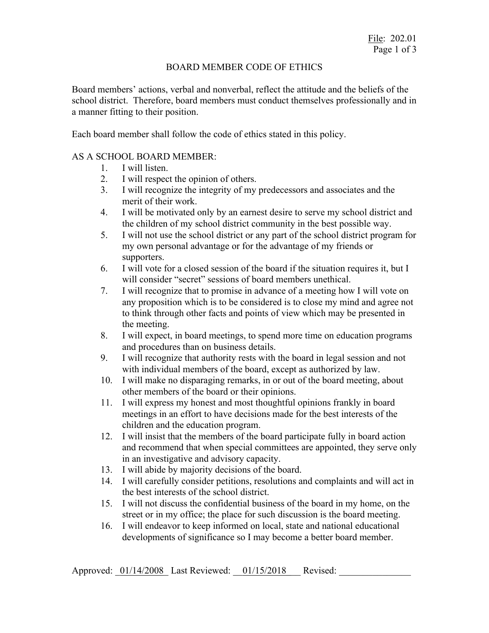### BOARD MEMBER CODE OF ETHICS

Board members' actions, verbal and nonverbal, reflect the attitude and the beliefs of the school district. Therefore, board members must conduct themselves professionally and in a manner fitting to their position.

Each board member shall follow the code of ethics stated in this policy.

### AS A SCHOOL BOARD MEMBER:

- 1. I will listen.
- 2. I will respect the opinion of others.
- 3. I will recognize the integrity of my predecessors and associates and the merit of their work.
- 4. I will be motivated only by an earnest desire to serve my school district and the children of my school district community in the best possible way.
- 5. I will not use the school district or any part of the school district program for my own personal advantage or for the advantage of my friends or supporters.
- 6. I will vote for a closed session of the board if the situation requires it, but I will consider "secret" sessions of board members unethical.
- 7. I will recognize that to promise in advance of a meeting how I will vote on any proposition which is to be considered is to close my mind and agree not to think through other facts and points of view which may be presented in the meeting.
- 8. I will expect, in board meetings, to spend more time on education programs and procedures than on business details.
- 9. I will recognize that authority rests with the board in legal session and not with individual members of the board, except as authorized by law.
- 10. I will make no disparaging remarks, in or out of the board meeting, about other members of the board or their opinions.
- 11. I will express my honest and most thoughtful opinions frankly in board meetings in an effort to have decisions made for the best interests of the children and the education program.
- 12. I will insist that the members of the board participate fully in board action and recommend that when special committees are appointed, they serve only in an investigative and advisory capacity.
- 13. I will abide by majority decisions of the board.
- 14. I will carefully consider petitions, resolutions and complaints and will act in the best interests of the school district.
- 15. I will not discuss the confidential business of the board in my home, on the street or in my office; the place for such discussion is the board meeting.
- 16. I will endeavor to keep informed on local, state and national educational developments of significance so I may become a better board member.

Approved:  $01/14/2008$  Last Reviewed:  $01/15/2018$  Revised: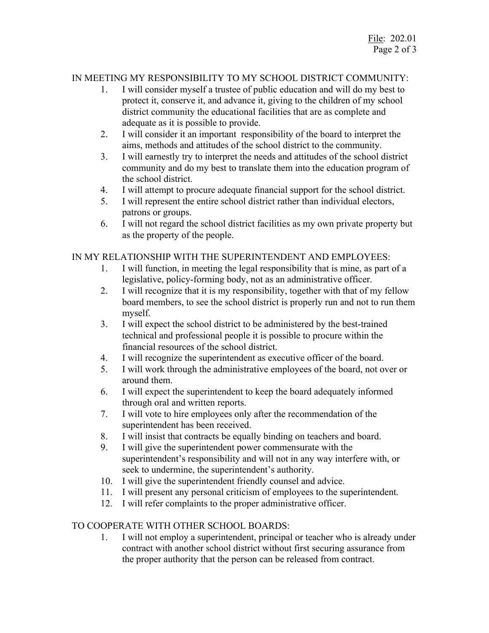# IN MEETING MY RESPONSIBILITY TO MY SCHOOL DISTRICT COMMUNITY:

- 1. I will consider myself a trustee of public education and will do my best to protect it, conserve it, and advance it, giving to the children of my school district community the educational facilities that are as complete and adequate as it is possible to provide.
- 2. I will consider it an important responsibility of the board to interpret the aims, methods and attitudes of the school district to the community.
- 3. I will earnestly try to interpret the needs and attitudes of the school district community and do my best to translate them into the education program of the school district.
- 4. I will attempt to procure adequate financial support for the school district.
- 5. I will represent the entire school district rather than individual electors, patrons or groups.
- 6. I will not regard the school district facilities as my own private property but as the property of the people.

## IN MY RELATIONSHIP WITH THE SUPERINTENDENT AND EMPLOYEES:

- 1. I will function, in meeting the legal responsibility that is mine, as part of a legislative, policy-forming body, not as an administrative officer.
- 2. I will recognize that it is my responsibility, together with that of my fellow board members, to see the school district is properly run and not to run them myself.
- 3. I will expect the school district to be administered by the best-trained technical and professional people it is possible to procure within the financial resources of the school district.
- 4. I will recognize the superintendent as executive officer of the board.
- 5. I will work through the administrative employees of the board, not over or around them.
- 6. I will expect the superintendent to keep the board adequately informed through oral and written reports.
- 7. I will vote to hire employees only after the recommendation of the superintendent has been received.
- 8. I will insist that contracts be equally binding on teachers and board.
- 9. I will give the superintendent power commensurate with the superintendent's responsibility and will not in any way interfere with, or seek to undermine, the superintendent's authority.
- 10. I will give the superintendent friendly counsel and advice.
- 11. I will present any personal criticism of employees to the superintendent.
- 12. I will refer complaints to the proper administrative officer.

### TO COOPERATE WITH OTHER SCHOOL BOARDS:

1. I will not employ a superintendent, principal or teacher who is already under contract with another school district without first securing assurance from the proper authority that the person can be released from contract.